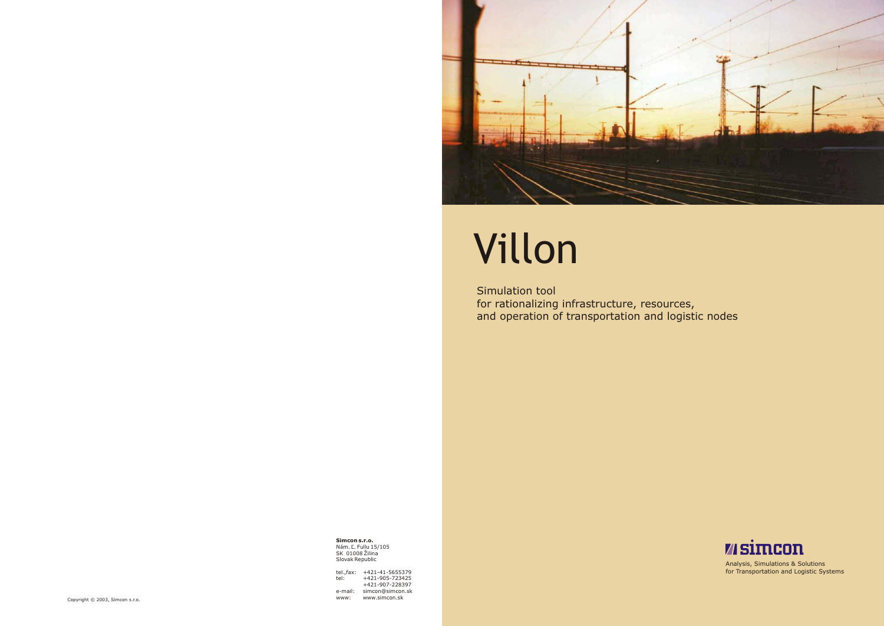

# Villon

Simulation tool for rationalizing infrastructure, resources, and operation of transportation and logistic nodes

**Simcon s.r.o.** Nám. Ľ. Fullu 15/105 SK 01008 Žilina Slovak Republic

Analysis, Simulations & Solutions for Transportation and Logistic Systems



tel.,fax: +421-41-5655379 tel: +421-905-723425 +421-907-228397 e-mail: simcon@simcon.sk www: www.simcon.sk